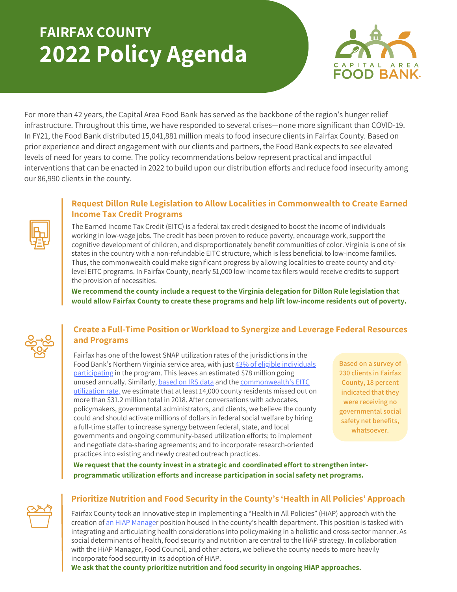# **FAIRFAX COUNTY 2022 Policy Agenda**



For more than 42 years, the Capital Area Food Bank has served as the backbone of the region's hunger relief infrastructure. Throughout this time, we have responded to several crises—none more significant than COVID-19. In FY21, the Food Bank distributed 15,041,881 million meals to food insecure clients in Fairfax County. Based on prior experience and direct engagement with our clients and partners, the Food Bank expects to see elevated levels of need for years to come. The policy recommendations below represent practical and impactful interventions that can be enacted in 2022 to build upon our distribution efforts and reduce food insecurity among our 86,990 clients in the county.

## **Request Dillon Rule Legislation to Allow Localities in Commonwealth to Create Earned Income Tax Credit Programs**

The Earned Income Tax Credit (EITC) is a federal tax credit designed to boost the income of individuals working in low-wage jobs. The credit has been proven to reduce poverty, encourage work, support the cognitive development of children, and disproportionately benefit communities of color. Virginia is one of six states in the country with a non-refundable EITC structure, which is less beneficial to low-income families. Thus, the commonwealth could make significant progress by allowing localities to create county and citylevel EITC programs. In Fairfax County, nearly 51,000 low-income tax filers would receive credits to support the provision of necessities.

**We recommend the county include a request to the Virginia delegation for Dillon Rule legislation that would allow Fairfax County to create these programs and help lift low-income residents out of poverty.**

### **Create a Full-Time Position or Workload to Synergize and Leverage Federal Resources and Programs**

Fairfax has one of the lowest SNAP utilization rates of the jurisdictions in the Food Bank's Northern Virginia service area, with just 43% of eligible individuals [participating](https://hunger-report.capitalareafoodbank.org/) in the program. This leaves an estimated \$78 million going unused annually. Similarly, [based](https://www.irs.gov/statistics/soi-tax-stats-county-data-2018) on IRS data and the [commonwealth's](https://www.eitc.irs.gov/eitc-central/participation-rate/eitc-participation-rate-by-states#:~:text=EITC%20Participation%20Rate%20by%20States%20%20%20,%20%2080.9%25%20%2029%20more%20rows%20) EITC utilization rate, we estimate that at least 14,000 county residents missed out on more than \$31.2 million total in 2018. After conversations with advocates, policymakers, governmental administrators, and clients, we believe the county could and should activate millions of dollars in federal social welfare by hiring a full-time staffer to increase synergy between federal, state, and local governments and ongoing community-based utilization efforts; to implement and negotiate data-sharing agreements; and to incorporate research-oriented practices into existing and newly created outreach practices.

**Based on a survey of 230 clients in Fairfax County, 18 percent indicated that they were receiving no governmental social safety net benefits, whatsoever.**

**We request that the county invest in a strategic and coordinated effort to strengthen interprogrammatic utilization efforts and increase participation in social safety net programs.**



## **Prioritize Nutrition and Food Security in the County's 'Health in All Policies' Approach**

Fairfax County took an innovative step in implementing a "Health in All Policies" (HiAP) approach with the creation of an HiAP [Manager](https://virginiapaths.org/wp-content/uploads/2021/09/PATHS_Fairfax_CaseStudy-7.23.pdf) position housed in the county's health department. This position is tasked with integrating and articulating health considerations into policymaking in a holistic and cross-sector manner. As social determinants of health, food security and nutrition are central to the HiAP strategy. In collaboration with the HiAP Manager, Food Council, and other actors, we believe the county needs to more heavily incorporate food security in its adoption of HiAP.

**We ask that the county prioritize nutrition and food security in ongoing HiAP approaches.**